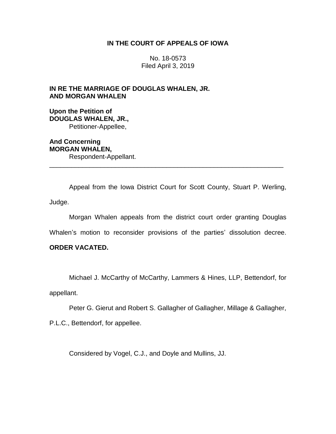### **IN THE COURT OF APPEALS OF IOWA**

No. 18-0573 Filed April 3, 2019

### **IN RE THE MARRIAGE OF DOUGLAS WHALEN, JR. AND MORGAN WHALEN**

**Upon the Petition of DOUGLAS WHALEN, JR.,** Petitioner-Appellee,

**And Concerning MORGAN WHALEN,** Respondent-Appellant.

Appeal from the Iowa District Court for Scott County, Stuart P. Werling, Judge.

\_\_\_\_\_\_\_\_\_\_\_\_\_\_\_\_\_\_\_\_\_\_\_\_\_\_\_\_\_\_\_\_\_\_\_\_\_\_\_\_\_\_\_\_\_\_\_\_\_\_\_\_\_\_\_\_\_\_\_\_\_\_\_\_

Morgan Whalen appeals from the district court order granting Douglas

Whalen's motion to reconsider provisions of the parties' dissolution decree.

## **ORDER VACATED.**

Michael J. McCarthy of McCarthy, Lammers & Hines, LLP, Bettendorf, for

appellant.

Peter G. Gierut and Robert S. Gallagher of Gallagher, Millage & Gallagher,

P.L.C., Bettendorf, for appellee.

Considered by Vogel, C.J., and Doyle and Mullins, JJ.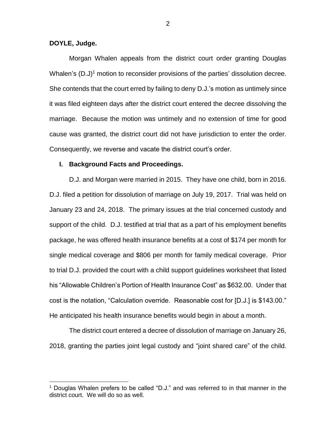### **DOYLE, Judge.**

 $\overline{a}$ 

Morgan Whalen appeals from the district court order granting Douglas Whalen's (D.J)<sup>1</sup> motion to reconsider provisions of the parties' dissolution decree. She contends that the court erred by failing to deny D.J.'s motion as untimely since it was filed eighteen days after the district court entered the decree dissolving the marriage. Because the motion was untimely and no extension of time for good cause was granted, the district court did not have jurisdiction to enter the order. Consequently, we reverse and vacate the district court's order.

### **I. Background Facts and Proceedings.**

D.J. and Morgan were married in 2015. They have one child, born in 2016. D.J. filed a petition for dissolution of marriage on July 19, 2017. Trial was held on January 23 and 24, 2018. The primary issues at the trial concerned custody and support of the child. D.J. testified at trial that as a part of his employment benefits package, he was offered health insurance benefits at a cost of \$174 per month for single medical coverage and \$806 per month for family medical coverage. Prior to trial D.J. provided the court with a child support guidelines worksheet that listed his "Allowable Children's Portion of Health Insurance Cost" as \$632.00. Under that cost is the notation, "Calculation override. Reasonable cost for [D.J.] is \$143.00." He anticipated his health insurance benefits would begin in about a month.

The district court entered a decree of dissolution of marriage on January 26, 2018, granting the parties joint legal custody and "joint shared care" of the child.

<sup>&</sup>lt;sup>1</sup> Douglas Whalen prefers to be called "D.J." and was referred to in that manner in the district court. We will do so as well.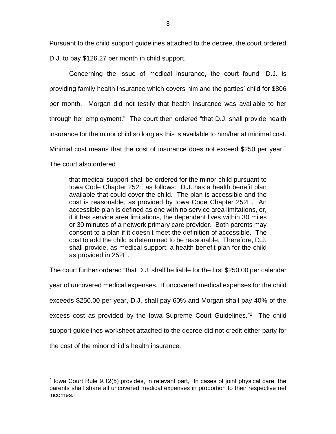Pursuant to the child support guidelines attached to the decree, the court ordered D.J. to pay \$126.27 per month in child support.

Concerning the issue of medical insurance, the court found "D.J. is providing family health insurance which covers him and the parties' child for \$806 per month. Morgan did not testify that health insurance was available to her through her employment." The court then ordered "that D.J. shall provide health insurance for the minor child so long as this is available to him/her at minimal cost. Minimal cost means that the cost of insurance does not exceed \$250 per year."

The court also ordered

 $\overline{a}$ 

that medical support shall be ordered for the minor child pursuant to Iowa Code Chapter 252E as follows: D.J. has a health benefit plan available that could cover the child. The plan is accessible and the cost is reasonable, as provided by Iowa Code Chapter 252E. An accessible plan is defined as one with no service area limitations, or, if it has service area limitations, the dependent lives within 30 miles or 30 minutes of a network primary care provider. Both parents may consent to a plan if it doesn't meet the definition of accessible. The cost to add the child is determined to be reasonable. Therefore, D.J. shall provide, as medical support, a health benefit plan for the child as provided in 252E.

The court further ordered "that D.J. shall be liable for the first \$250.00 per calendar year of uncovered medical expenses. If uncovered medical expenses for the child exceeds \$250.00 per year, D.J. shall pay 60% and Morgan shall pay 40% of the excess cost as provided by the Iowa Supreme Court Guidelines."<sup>2</sup> The child support guidelines worksheet attached to the decree did not credit either party for the cost of the minor child's health insurance.

<sup>&</sup>lt;sup>2</sup> lowa Court Rule 9.12(5) provides, in relevant part, "In cases of joint physical care, the parents shall share all uncovered medical expenses in proportion to their respective net incomes."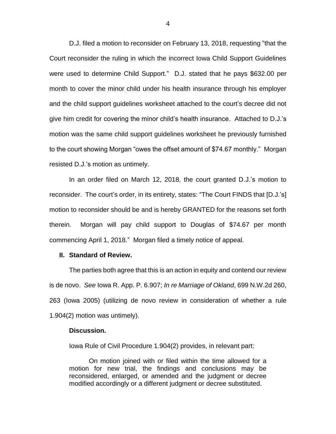D.J. filed a motion to reconsider on February 13, 2018, requesting "that the Court reconsider the ruling in which the incorrect Iowa Child Support Guidelines were used to determine Child Support." D.J. stated that he pays \$632.00 per month to cover the minor child under his health insurance through his employer and the child support guidelines worksheet attached to the court's decree did not give him credit for covering the minor child's health insurance. Attached to D.J.'s motion was the same child support guidelines worksheet he previously furnished to the court showing Morgan "owes the offset amount of \$74.67 monthly." Morgan resisted D.J.'s motion as untimely.

In an order filed on March 12, 2018, the court granted D.J.'s motion to reconsider. The court's order, in its entirety, states: "The Court FINDS that [D.J.'s] motion to reconsider should be and is hereby GRANTED for the reasons set forth therein. Morgan will pay child support to Douglas of \$74.67 per month commencing April 1, 2018." Morgan filed a timely notice of appeal.

#### **II. Standard of Review.**

The parties both agree that this is an action in equity and contend our review is de novo. *See* Iowa R. App. P. 6.907; *In re Marriage of Okland*, 699 N.W.2d 260, 263 (Iowa 2005) (utilizing de novo review in consideration of whether a rule 1.904(2) motion was untimely).

#### **Discussion.**

Iowa Rule of Civil Procedure 1.904(2) provides, in relevant part:

On motion joined with or filed within the time allowed for a motion for new trial, the findings and conclusions may be reconsidered, enlarged, or amended and the judgment or decree modified accordingly or a different judgment or decree substituted.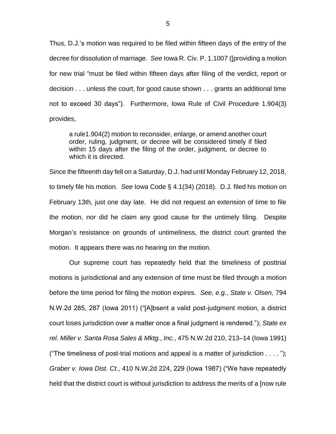Thus, D.J.'s motion was required to be filed within fifteen days of the entry of the decree for dissolution of marriage. *See* Iowa R. Civ. P. 1.1007 ([providing a motion for new trial "must be filed within fifteen days after filing of the verdict, report or decision . . . unless the court, for good cause shown . . . grants an additional time not to exceed 30 days"). Furthermore, Iowa Rule of Civil Procedure 1.904(3) provides,

a rule1.904(2) motion to reconsider, enlarge, or amend another court order, ruling, judgment, or decree will be considered timely if filed within 15 days after the filing of the order, judgment, or decree to which it is directed.

Since the fifteenth day fell on a Saturday, D.J. had until Monday February 12, 2018, to timely file his motion. *See* Iowa Code § 4.1(34) (2018). D.J. filed his motion on February 13th, just one day late. He did not request an extension of time to file the motion, nor did he claim any good cause for the untimely filing. Despite Morgan's resistance on grounds of untimeliness, the district court granted the motion. It appears there was no hearing on the motion.

Our supreme court has repeatedly held that the timeliness of posttrial motions is jurisdictional and any extension of time must be filed through a motion before the time period for filing the motion expires. *See, e.g.*, *State v. Olsen,* 794 N.W.2d 285, 287 (Iowa 2011) ("[A]bsent a valid post-judgment motion, a district court loses jurisdiction over a matter once a final judgment is rendered."); *State ex rel. Miller v. Santa Rosa Sales & Mktg., Inc.*, 475 N.W.2d 210, 213–14 (Iowa 1991) ("The timeliness of post-trial motions and appeal is a matter of jurisdiction  $\dots$  ."); *Graber v. Iowa Dist. Ct.*, 410 N.W.2d 224, 229 (Iowa 1987) ("We have repeatedly held that the district court is without jurisdiction to address the merits of a [now rule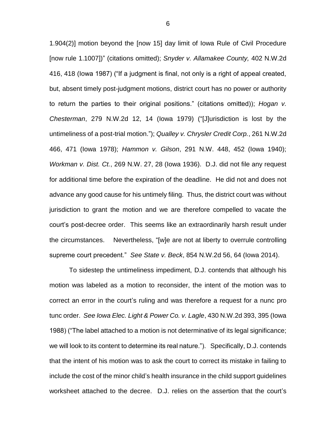1.904(2)] motion beyond the [now 15] day limit of Iowa Rule of Civil Procedure [now rule 1.1007])" (citations omitted); *Snyder v. Allamakee County,* 402 N.W.2d 416, 418 (Iowa 1987) ("If a judgment is final, not only is a right of appeal created, but, absent timely post-judgment motions, district court has no power or authority to return the parties to their original positions." (citations omitted)); *Hogan v. Chesterman*, 279 N.W.2d 12, 14 (Iowa 1979) ("[J]urisdiction is lost by the untimeliness of a post-trial motion."); *Qualley v. Chrysler Credit Corp.*, 261 N.W.2d 466, 471 (Iowa 1978); *Hammon v. Gilson*, 291 N.W. 448, 452 (Iowa 1940); *Workman v. Dist. Ct.*, 269 N.W. 27, 28 (Iowa 1936). D.J. did not file any request for additional time before the expiration of the deadline. He did not and does not advance any good cause for his untimely filing. Thus, the district court was without jurisdiction to grant the motion and we are therefore compelled to vacate the court's post-decree order. This seems like an extraordinarily harsh result under the circumstances. Nevertheless, "[w]e are not at liberty to overrule controlling supreme court precedent." *See State v. Beck*, 854 N.W.2d 56, 64 (Iowa 2014).

To sidestep the untimeliness impediment, D.J. contends that although his motion was labeled as a motion to reconsider, the intent of the motion was to correct an error in the court's ruling and was therefore a request for a nunc pro tunc order. *See Iowa Elec. Light & Power Co. v. Lagle*, 430 N.W.2d 393, 395 (Iowa 1988) ("The label attached to a motion is not determinative of its legal significance; we will look to its content to determine its real nature."). Specifically, D.J. contends that the intent of his motion was to ask the court to correct its mistake in failing to include the cost of the minor child's health insurance in the child support guidelines worksheet attached to the decree. D.J. relies on the assertion that the court's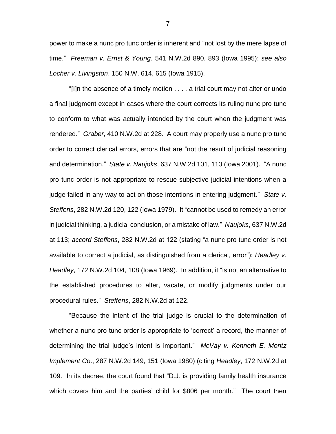power to make a nunc pro tunc order is inherent and "not lost by the mere lapse of time." *Freeman v. Ernst & Young*, 541 N.W.2d 890, 893 (Iowa 1995); *see also Locher v. Livingston*, 150 N.W. 614, 615 (Iowa 1915).

"[I]n the absence of a timely motion . . . , a trial court may not alter or undo a final judgment except in cases where the court corrects its ruling nunc pro tunc to conform to what was actually intended by the court when the judgment was rendered." *Graber*, 410 N.W.2d at 228. A court may properly use a nunc pro tunc order to correct clerical errors, errors that are "not the result of judicial reasoning and determination." *State v. Naujoks*, 637 N.W.2d 101, 113 (Iowa 2001). "A nunc pro tunc order is not appropriate to rescue subjective judicial intentions when a judge failed in any way to act on those intentions in entering judgment." *State v. Steffens*, 282 N.W.2d 120, 122 (Iowa 1979). It "cannot be used to remedy an error in judicial thinking, a judicial conclusion, or a mistake of law." *Naujoks*, 637 N.W.2d at 113; *accord Steffens*, 282 N.W.2d at 122 (stating "a nunc pro tunc order is not available to correct a judicial, as distinguished from a clerical, error"); *Headley v. Headley*, 172 N.W.2d 104, 108 (Iowa 1969). In addition, it "is not an alternative to the established procedures to alter, vacate, or modify judgments under our procedural rules." *Steffens*, 282 N.W.2d at 122.

"Because the intent of the trial judge is crucial to the determination of whether a nunc pro tunc order is appropriate to 'correct' a record, the manner of determining the trial judge's intent is important." *McVay v. Kenneth E. Montz Implement Co*., 287 N.W.2d 149, 151 (Iowa 1980) (citing *Headley*, 172 N.W.2d at 109. In its decree, the court found that "D.J. is providing family health insurance which covers him and the parties' child for \$806 per month." The court then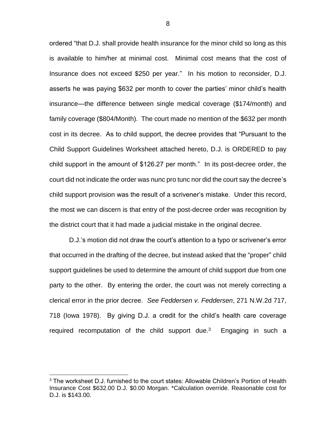ordered "that D.J. shall provide health insurance for the minor child so long as this is available to him/her at minimal cost. Minimal cost means that the cost of Insurance does not exceed \$250 per year." In his motion to reconsider, D.J. asserts he was paying \$632 per month to cover the parties' minor child's health insurance—the difference between single medical coverage (\$174/month) and family coverage (\$804/Month). The court made no mention of the \$632 per month cost in its decree. As to child support, the decree provides that "Pursuant to the Child Support Guidelines Worksheet attached hereto, D.J. is ORDERED to pay child support in the amount of \$126.27 per month." In its post-decree order, the court did not indicate the order was nunc pro tunc nor did the court say the decree's child support provision was the result of a scrivener's mistake. Under this record, the most we can discern is that entry of the post-decree order was recognition by the district court that it had made a judicial mistake in the original decree.

D.J.'s motion did not draw the court's attention to a typo or scrivener's error that occurred in the drafting of the decree, but instead asked that the "proper" child support guidelines be used to determine the amount of child support due from one party to the other. By entering the order, the court was not merely correcting a clerical error in the prior decree. *See Feddersen v. Feddersen*, 271 N.W.2d 717, 718 (Iowa 1978). By giving D.J. a credit for the child's health care coverage required recomputation of the child support due.<sup>3</sup> Engaging in such a

 $\overline{a}$ 

 $3$  The worksheet D.J. furnished to the court states: Allowable Children's Portion of Health Insurance Cost \$632.00 D.J. \$0.00 Morgan. \*Calculation override. Reasonable cost for D.J. is \$143.00.